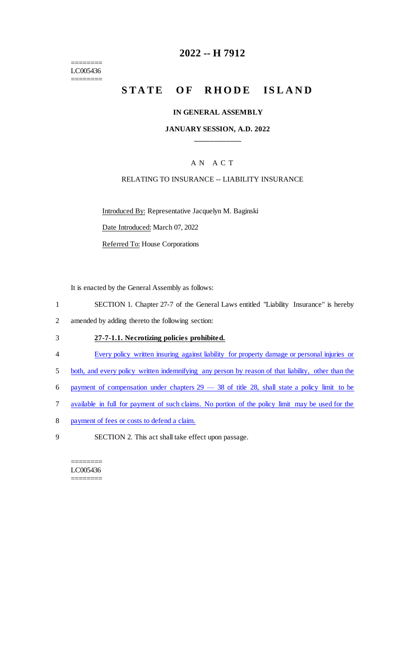======== LC005436 ========

# **2022 -- H 7912**

# **STATE OF RHODE ISLAND**

#### **IN GENERAL ASSEMBLY**

## **JANUARY SESSION, A.D. 2022 \_\_\_\_\_\_\_\_\_\_\_\_**

## A N A C T

## RELATING TO INSURANCE -- LIABILITY INSURANCE

Introduced By: Representative Jacquelyn M. Baginski

Date Introduced: March 07, 2022

Referred To: House Corporations

It is enacted by the General Assembly as follows:

- 1 SECTION 1. Chapter 27-7 of the General Laws entitled "Liability Insurance" is hereby
- 2 amended by adding thereto the following section:

#### 3 **27-7-1.1. Necrotizing policies prohibited.**

- 4 Every policy written insuring against liability for property damage or personal injuries or
- 5 both, and every policy written indemnifying any person by reason of that liability, other than the
- 6 payment of compensation under chapters  $29 38$  of title 28, shall state a policy limit to be
- 7 available in full for payment of such claims. No portion of the policy limit may be used for the
- 8 payment of fees or costs to defend a claim.
- 9 SECTION 2. This act shall take effect upon passage.

======== LC005436 ========